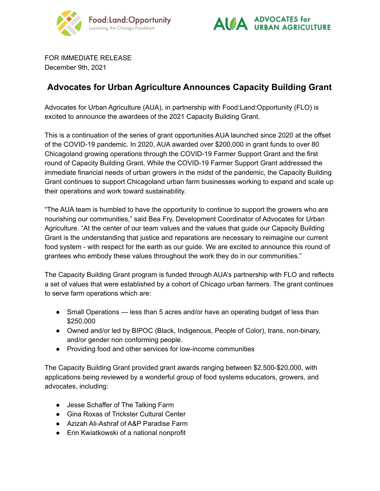



FOR IMMEDIATE RELEASE December 9th, 2021

## **Advocates for Urban Agriculture Announces Capacity Building Grant**

Advocates for Urban Agriculture (AUA), in partnership with Food:Land:Opportunity (FLO) is excited to announce the awardees of the 2021 Capacity Building Grant.

This is a continuation of the series of grant opportunities AUA launched since 2020 at the offset of the COVID-19 pandemic. In 2020, AUA awarded over \$200,000 in grant funds to over 80 Chicagoland growing operations through the COVID-19 Farmer Support Grant and the first round of Capacity Building Grant. While the COVID-19 Farmer Support Grant addressed the immediate financial needs of urban growers in the midst of the pandemic, the Capacity Building Grant continues to support Chicagoland urban farm businesses working to expand and scale up their operations and work toward sustainability.

"The AUA team is humbled to have the opportunity to continue to support the growers who are nourishing our communities," said Bea Fry, Development Coordinator of Advocates for Urban Agriculture. "At the center of our team values and the values that guide our Capacity Building Grant is the understanding that justice and reparations are necessary to reimagine our current food system - with respect for the earth as our guide. We are excited to announce this round of grantees who embody these values throughout the work they do in our communities."

The Capacity Building Grant program is funded through AUA's partnership with FLO and reflects a set of values that were established by a cohort of Chicago urban farmers. The grant continues to serve farm operations which are:

- Small Operations less than 5 acres and/or have an operating budget of less than \$250,000
- Owned and/or led by BIPOC (Black, Indigenous, People of Color), trans, non-binary, and/or gender non conforming people.
- Providing food and other services for low-income communities

The Capacity Building Grant provided grant awards ranging between \$2,500-\$20,000, with applications being reviewed by a wonderful group of food systems educators, growers, and advocates, including:

- Jesse Schaffer of The Talking Farm
- Gina Roxas of Trickster Cultural Center
- Azizah Ali-Ashraf of A&P Paradise Farm
- Erin Kwiatkowski of a national nonprofit